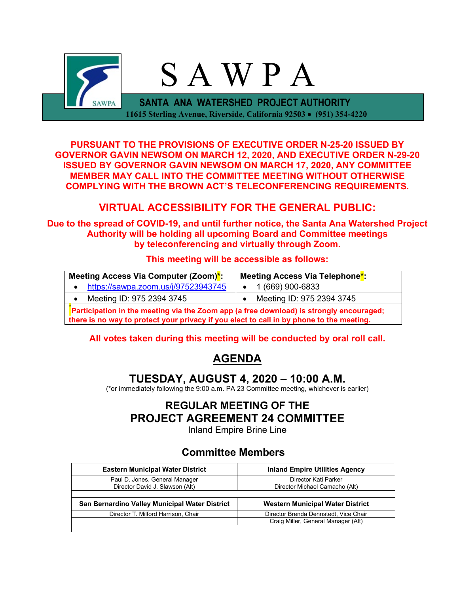

**PURSUANT TO THE PROVISIONS OF EXECUTIVE ORDER N-25-20 ISSUED BY GOVERNOR GAVIN NEWSOM ON MARCH 12, 2020, AND EXECUTIVE ORDER N-29-20 ISSUED BY GOVERNOR GAVIN NEWSOM ON MARCH 17, 2020, ANY COMMITTEE MEMBER MAY CALL INTO THE COMMITTEE MEETING WITHOUT OTHERWISE COMPLYING WITH THE BROWN ACT'S TELECONFERENCING REQUIREMENTS.**

# **VIRTUAL ACCESSIBILITY FOR THE GENERAL PUBLIC:**

**Due to the spread of COVID-19, and until further notice, the Santa Ana Watershed Project Authority will be holding all upcoming Board and Committee meetings by teleconferencing and virtually through Zoom.**

## **This meeting will be accessible as follows:**

| Meeting Access Via Computer (Zoom)*:                                                    | Meeting Access Via Telephone <sup>*</sup> : |  |  |  |
|-----------------------------------------------------------------------------------------|---------------------------------------------|--|--|--|
| https://sawpa.zoom.us/j/97523943745                                                     | $\bullet$ 1 (669) 900-6833                  |  |  |  |
| Meeting ID: 975 2394 3745                                                               | Meeting ID: 975 2394 3745                   |  |  |  |
| Participation in the meeting via the Zoom app (a free download) is strongly encouraged; |                                             |  |  |  |

**there is no way to protect your privacy if you elect to call in by phone to the meeting.**

# **All votes taken during this meeting will be conducted by oral roll call.**

# **AGENDA**

# **TUESDAY, AUGUST 4, 2020 – 10:00 A.M.**

(\*or immediately following the 9:00 a.m. PA 23 Committee meeting, whichever is earlier)

# **REGULAR MEETING OF THE PROJECT AGREEMENT 24 COMMITTEE**

Inland Empire Brine Line

# **Committee Members**

| <b>Eastern Municipal Water District</b>        | <b>Inland Empire Utilities Agency</b>   |  |  |
|------------------------------------------------|-----------------------------------------|--|--|
| Paul D. Jones, General Manager                 | Director Kati Parker                    |  |  |
| Director David J. Slawson (Alt)                | Director Michael Camacho (Alt)          |  |  |
|                                                |                                         |  |  |
| San Bernardino Valley Municipal Water District | <b>Western Municipal Water District</b> |  |  |
| Director T. Milford Harrison, Chair            | Director Brenda Dennstedt, Vice Chair   |  |  |
|                                                | Craig Miller, General Manager (Alt)     |  |  |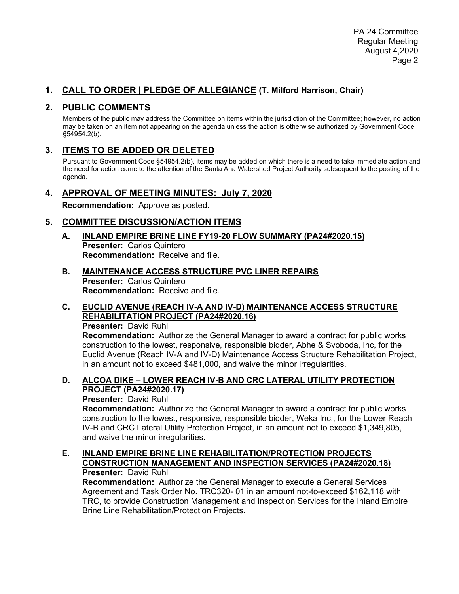# **1. CALL TO ORDER | PLEDGE OF ALLEGIANCE (T. Milford Harrison, Chair)**

# **2. PUBLIC COMMENTS**

Members of the public may address the Committee on items within the jurisdiction of the Committee; however, no action may be taken on an item not appearing on the agenda unless the action is otherwise authorized by Government Code §54954.2(b).

# **3. ITEMS TO BE ADDED OR DELETED**

Pursuant to Government Code §54954.2(b), items may be added on which there is a need to take immediate action and the need for action came to the attention of the Santa Ana Watershed Project Authority subsequent to the posting of the agenda.

## **4. APPROVAL OF MEETING MINUTES: July 7, 2020**

**Recommendation:** Approve as posted.

# **5. COMMITTEE DISCUSSION/ACTION ITEMS**

- **A. INLAND EMPIRE BRINE LINE FY19-20 FLOW SUMMARY (PA24#2020.15) Presenter:** Carlos Quintero **Recommendation:** Receive and file.
- **B. MAINTENANCE ACCESS STRUCTURE PVC LINER REPAIRS Presenter:** Carlos Quintero **Recommendation:** Receive and file.

#### **C. EUCLID AVENUE (REACH IV-A AND IV-D) MAINTENANCE ACCESS STRUCTURE REHABILITATION PROJECT (PA24#2020.16) Presenter:** David Ruhl

**Recommendation:** Authorize the General Manager to award a contract for public works construction to the lowest, responsive, responsible bidder, Abhe & Svoboda, Inc, for the Euclid Avenue (Reach IV-A and IV-D) Maintenance Access Structure Rehabilitation Project, in an amount not to exceed \$481,000, and waive the minor irregularities.

### **D. ALCOA DIKE – LOWER REACH IV-B AND CRC LATERAL UTILITY PROTECTION PROJECT (PA24#2020.17)**

### **Presenter:** David Ruhl

**Recommendation:** Authorize the General Manager to award a contract for public works construction to the lowest, responsive, responsible bidder, Weka Inc., for the Lower Reach IV-B and CRC Lateral Utility Protection Project, in an amount not to exceed \$1,349,805, and waive the minor irregularities.

#### **E. INLAND EMPIRE BRINE LINE REHABILITATION/PROTECTION PROJECTS CONSTRUCTION MANAGEMENT AND INSPECTION SERVICES (PA24#2020.18) Presenter:** David Ruhl

**Recommendation:** Authorize the General Manager to execute a General Services Agreement and Task Order No. TRC320- 01 in an amount not-to-exceed \$162,118 with TRC, to provide Construction Management and Inspection Services for the Inland Empire Brine Line Rehabilitation/Protection Projects.